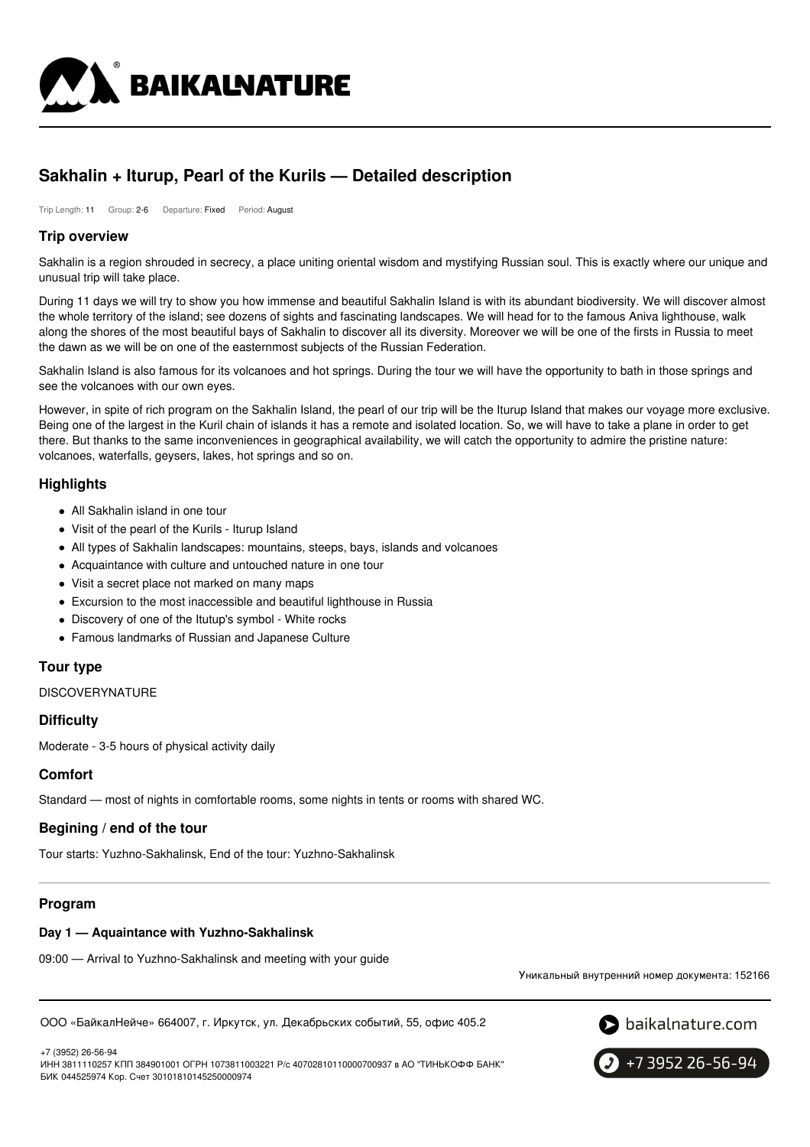

# **Sakhalin + Iturup, Pearl of the Kurils — Detailed description**

Trip Length: 11 Group: 2-6 Departure: Fixed Period: August

# **Trip overview**

Sakhalin is a region shrouded in secrecy, a place uniting oriental wisdom and mystifying Russian soul. This is exactly where our unique and unusual trip will take place.

During 11 days we will try to show you how immense and beautiful Sakhalin Island is with its abundant biodiversity. We will discover almost the whole territory of the island; see dozens of sights and fascinating landscapes. We will head for to the famous Aniva lighthouse, walk along the shores of the most beautiful bays of Sakhalin to discover all its diversity. Moreover we will be one of the firsts in Russia to meet the dawn as we will be on one of the easternmost subjects of the Russian Federation.

Sakhalin Island is also famous for its volcanoes and hot springs. During the tour we will have the opportunity to bath in those springs and see the volcanoes with our own eyes.

However, in spite of rich program on the Sakhalin Island, the pearl of our trip will be the Iturup Island that makes our voyage more exclusive. Being one of the largest in the Kuril chain of islands it has a remote and isolated location. So, we will have to take a plane in order to get there. But thanks to the same inconveniences in geographical availability, we will catch the opportunity to admire the pristine nature: volcanoes, waterfalls, geysers, lakes, hot springs and so on.

# **Highlights**

- All Sakhalin island in one tour
- Visit of the pearl of the Kurils Iturup Island
- All types of Sakhalin landscapes: mountains, steeps, bays, islands and volcanoes
- Acquaintance with culture and untouched nature in one tour
- Visit a secret place not marked on many maps
- Excursion to the most inaccessible and beautiful lighthouse in Russia
- Discovery of one of the Itutup's symbol White rocks
- Famous landmarks of Russian and Japanese Culture

# **Tour type**

**DISCOVERYNATURE** 

# **Difficulty**

Moderate - 3-5 hours of physical activity daily

# **Comfort**

Standard — most of nights in comfortable rooms, some nights in tents or rooms with shared WC.

# **Begining / end of the tour**

Tour starts: Yuzhno-Sakhalinsk, End of the tour: Yuzhno-Sakhalinsk

# **Program**

# **Day 1 — Aquaintance with Yuzhno-Sakhalinsk**

09:00 — Arrival to Yuzhno-Sakhalinsk and meeting with your guide

Уникальный внутренний номер документа: 152166

ООО «БайкалНейче» 664007, г. Иркутск, ул. Декабрьских событий, 55, офис 405.2



ИНН 3811110257 КПП 384901001 ОГРН 1073811003221 Р/с 40702810110000700937 в АО "ТИНЬКОФФ БАНК" БИК 044525974 Кор. Счет 30101810145250000974



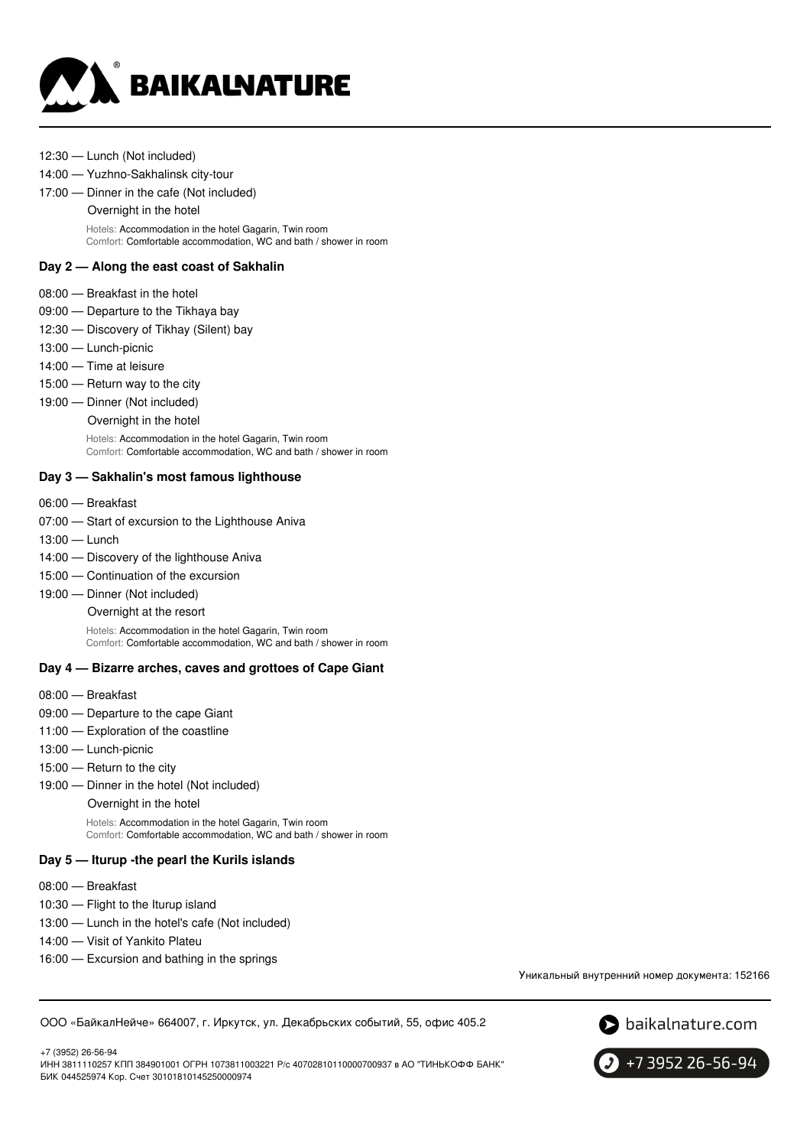

12:30 — Lunch (Not included)

#### 14:00 — Yuzhno-Sakhalinsk city-tour

17:00 — Dinner in the cafe (Not included)

Overnight in the hotel

Hotels: Accommodation in the hotel Gagarin, Twin room Comfort: Comfortable accommodation, WC and bath / shower in room

# **Day 2 — Along the east coast of Sakhalin**

- 08:00 Breakfast in the hotel
- 09:00 Departure to the Tikhaya bay
- 12:30 Discovery of Tikhay (Silent) bay
- 13:00 Lunch-picnic
- 14:00 Time at leisure
- 15:00 Return way to the city
- 19:00 Dinner (Not included)
	- Overnight in the hotel

Hotels: Accommodation in the hotel Gagarin, Twin room Comfort: Comfortable accommodation, WC and bath / shower in room

### **Day 3 — Sakhalin's most famous lighthouse**

- 06:00 Breakfast
- 07:00 Start of excursion to the Lighthouse Aniva
- 13:00 Lunch
- 14:00 Discovery of the lighthouse Aniva
- 15:00 Continuation of the excursion
- 19:00 Dinner (Not included)
	- Overnight at the resort

Hotels: Accommodation in the hotel Gagarin, Twin room Comfort: Comfortable accommodation, WC and bath / shower in room

# **Day 4 — Bizarre arches, caves and grottoes of Cape Giant**

- 08:00 Breakfast
- 09:00 Departure to the cape Giant
- 11:00 Exploration of the coastline
- 13:00 Lunch-picnic
- 15:00 Return to the city
- 19:00 Dinner in the hotel (Not included)
	- Overnight in the hotel

Hotels: Accommodation in the hotel Gagarin, Twin room Comfort: Comfortable accommodation, WC and bath / shower in room

# **Day 5 — Iturup -the pearl the Kurils islands**

- 08:00 Breakfast
- 10:30 Flight to the Iturup island
- 13:00 Lunch in the hotel's cafe (Not included)
- 14:00 Visit of Yankito Plateu
- 16:00 Excursion and bathing in the springs

Уникальный внутренний номер документа: 152166

ООО «БайкалНейче» 664007, г. Иркутск, ул. Декабрьских событий, 55, офис 405.2



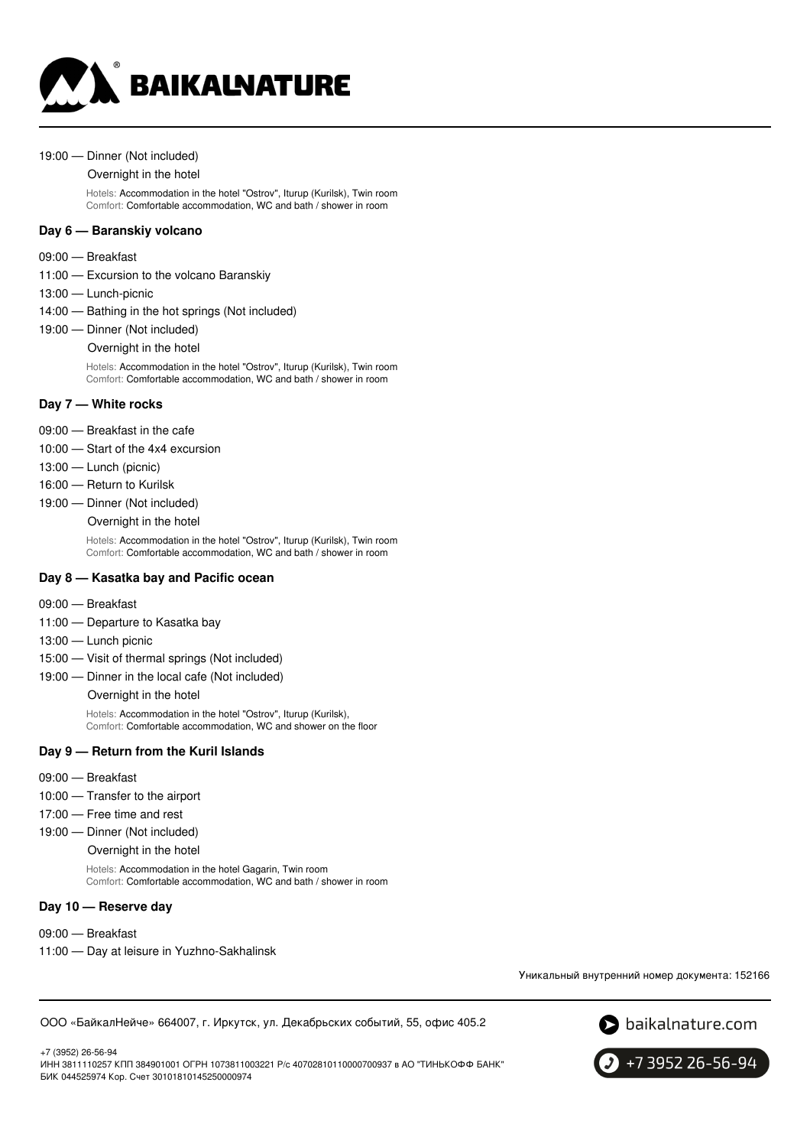

#### 19:00 — Dinner (Not included)

#### Overnight in the hotel

Hotels: Accommodation in the hotel "Ostrov", Iturup (Kurilsk), Twin room Comfort: Comfortable accommodation, WC and bath / shower in room

### **Day 6 — Baranskiy volcano**

- 09:00 Breakfast
- 11:00 Excursion to the volcano Baranskiy
- 13:00 Lunch-picnic
- 14:00 Bathing in the hot springs (Not included)
- 19:00 Dinner (Not included)

#### Overnight in the hotel

Hotels: Accommodation in the hotel "Ostrov", Iturup (Kurilsk), Twin room Comfort: Comfortable accommodation, WC and bath / shower in room

#### **Day 7 — White rocks**

- 09:00 Breakfast in the cafe
- 10:00 Start of the 4x4 excursion
- 13:00 Lunch (picnic)
- 16:00 Return to Kurilsk
- 19:00 Dinner (Not included)
	- Overnight in the hotel

Hotels: Accommodation in the hotel "Ostrov", Iturup (Kurilsk), Twin room Comfort: Comfortable accommodation, WC and bath / shower in room

### **Day 8 — Kasatka bay and Pacific ocean**

- 09:00 Breakfast
- 11:00 Departure to Kasatka bay
- 13:00 Lunch picnic
- 15:00 Visit of thermal springs (Not included)
- 19:00 Dinner in the local cafe (Not included)

Overnight in the hotel

Hotels: Accommodation in the hotel "Ostrov", Iturup (Kurilsk), Comfort: Comfortable accommodation, WC and shower on the floor

#### **Day 9 — Return from the Kuril Islands**

- 09:00 Breakfast
- 10:00 Transfer to the airport
- 17:00 Free time and rest
- 19:00 Dinner (Not included)
	- Overnight in the hotel

Hotels: Accommodation in the hotel Gagarin, Twin room Comfort: Comfortable accommodation, WC and bath / shower in room

#### **Day 10 — Reserve day**

- 09:00 Breakfast
- 11:00 Day at leisure in Yuzhno-Sakhalinsk

Уникальный внутренний номер документа: 152166

ООО «БайкалНейче» 664007, г. Иркутск, ул. Декабрьских событий, 55, офис 405.2



+7 (3952) 26-56-94 ИНН 3811110257 КПП 384901001 ОГРН 1073811003221 Р/с 40702810110000700937 в АО "ТИНЬКОФФ БАНК" БИК 044525974 Кор. Счет 30101810145250000974

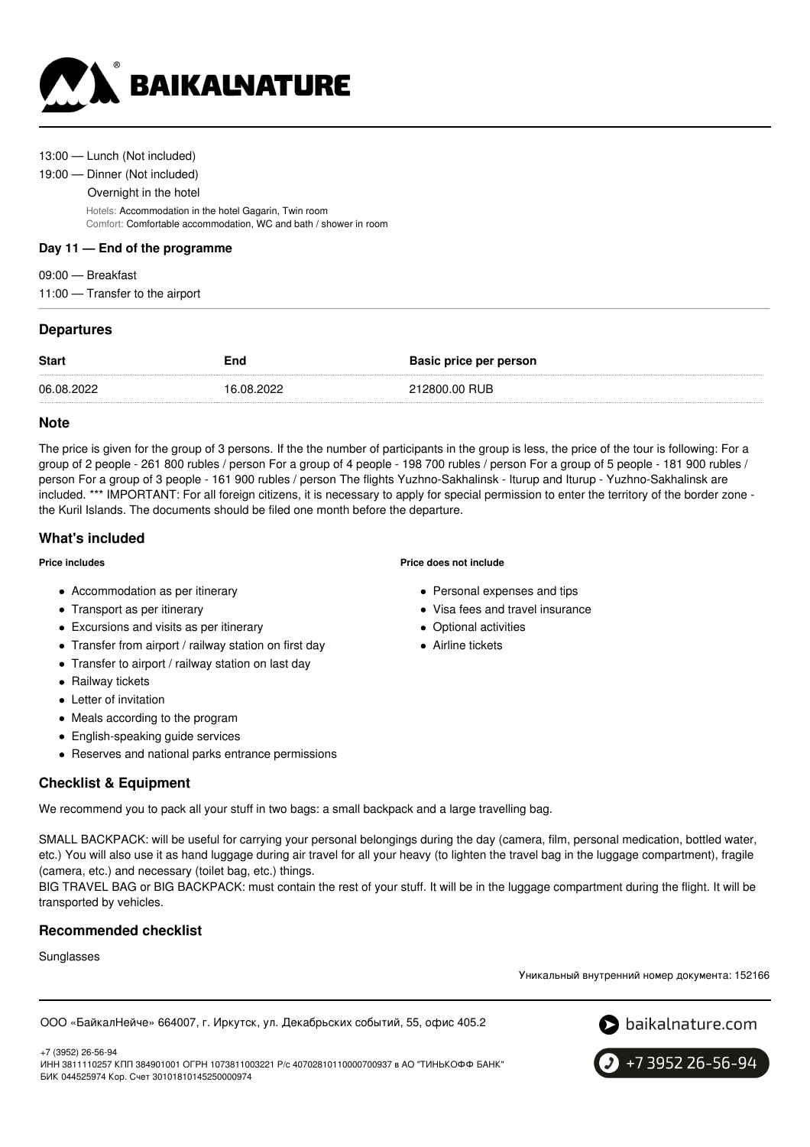

#### 13:00 — Lunch (Not included)

#### 19:00 — Dinner (Not included)

Overnight in the hotel

Hotels: Accommodation in the hotel Gagarin, Twin room Comfort: Comfortable accommodation, WC and bath / shower in room

### **Day 11 — End of the programme**

09:00 — Breakfast 11:00 — Transfer to the airport

# **Departures**

| <b>Start</b> | End        | <b>Basic price per person</b> |
|--------------|------------|-------------------------------|
| 06.08.2022   | 16.08.2022 | 212800.00 RUB                 |

# **Note**

The price is given for the group of 3 persons. If the the number of participants in the group is less, the price of the tour is following: For a group of 2 people - 261 800 rubles / person For a group of 4 people - 198 700 rubles / person For a group of 5 people - 181 900 rubles / person For a group of 3 people - 161 900 rubles / person The flights Yuzhno-Sakhalinsk - Iturup and Iturup - Yuzhno-Sakhalinsk are included. \*\*\* IMPORTANT: For all foreign citizens, it is necessary to apply for special permission to enter the territory of the border zone the Kuril Islands. The documents should be filed one month before the departure.

# **What's included**

#### **Price includes**

- Accommodation as per itinerary
- Transport as per itinerary
- Excursions and visits as per itinerary
- Transfer from airport / railway station on first day
- Transfer to airport / railway station on last day
- Railway tickets
- Letter of invitation
- Meals according to the program
- English-speaking guide services
- Reserves and national parks entrance permissions

# **Checklist & Equipment**

We recommend you to pack all your stuff in two bags: a small backpack and a large travelling bag.

SMALL BACKPACK: will be useful for carrying your personal belongings during the day (camera, film, personal medication, bottled water, etc.) You will also use it as hand luggage during air travel for all your heavy (to lighten the travel bag in the luggage compartment), fragile (camera, etc.) and necessary (toilet bag, etc.) things.

BIG TRAVEL BAG or BIG BACKPACK: must contain the rest of your stuff. It will be in the luggage compartment during the flight. It will be transported by vehicles.

# **Recommended checklist**

**Sunglasses** 

Уникальный внутренний номер документа: 152166

ООО «БайкалНейче» 664007, г. Иркутск, ул. Декабрьских событий, 55, офис 405.2



+7 (3952) 26-56-94 ИНН 3811110257 КПП 384901001 ОГРН 1073811003221 Р/с 40702810110000700937 в АО "ТИНЬКОФФ БАНК" БИК 044525974 Кор. Счет 30101810145250000974

**Price does not include**

- Personal expenses and tips
- Visa fees and travel insurance
- Optional activities
- Airline tickets

+7 3952 26-56-94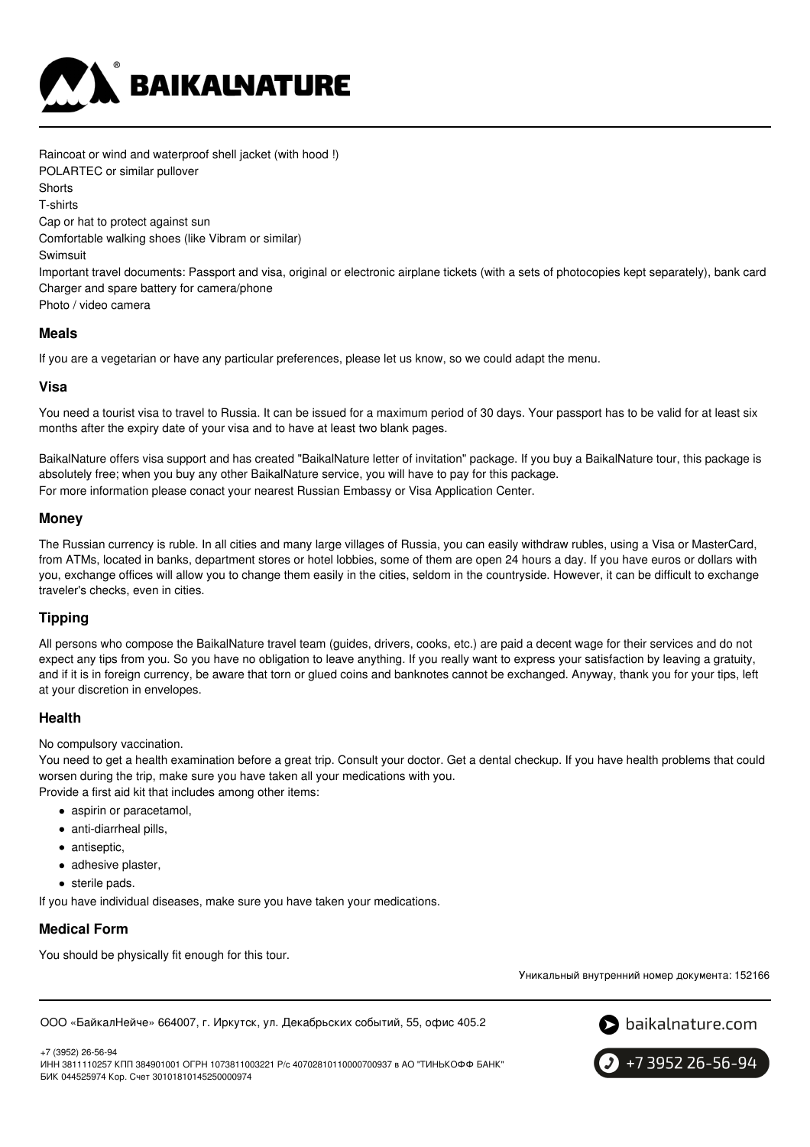

Raincoat or wind and waterproof shell jacket (with hood !) POLARTEC or similar pullover **Shorts** T-shirts Cap or hat to protect against sun Comfortable walking shoes (like Vibram or similar) **Swimsuit** Important travel documents: Passport and visa, original or electronic airplane tickets (with a sets of photocopies kept separately), bank card Charger and spare battery for camera/phone Photo / video camera

### **Meals**

If you are a vegetarian or have any particular preferences, please let us know, so we could adapt the menu.

### **Visa**

You need a tourist visa to travel to Russia. It can be issued for a maximum period of 30 days. Your passport has to be valid for at least six months after the expiry date of your visa and to have at least two blank pages.

BaikalNature offers visa support and has created "BaikalNature letter of invitation" package. If you buy a BaikalNature tour, this package is absolutely free; when you buy any other BaikalNature service, you will have to pay for this package. For more information please conact your nearest Russian Embassy or Visa Application Center.

# **Money**

The Russian currency is ruble. In all cities and many large villages of Russia, you can easily withdraw rubles, using a Visa or MasterCard, from ATMs, located in banks, department stores or hotel lobbies, some of them are open 24 hours a day. If you have euros or dollars with you, exchange offices will allow you to change them easily in the cities, seldom in the countryside. However, it can be difficult to exchange traveler's checks, even in cities.

# **Tipping**

All persons who compose the BaikalNature travel team (guides, drivers, cooks, etc.) are paid a decent wage for their services and do not expect any tips from you. So you have no obligation to leave anything. If you really want to express your satisfaction by leaving a gratuity, and if it is in foreign currency, be aware that torn or glued coins and banknotes cannot be exchanged. Anyway, thank you for your tips, left at your discretion in envelopes.

# **Health**

No compulsory vaccination.

You need to get a health examination before a great trip. Consult your doctor. Get a dental checkup. If you have health problems that could worsen during the trip, make sure you have taken all your medications with you.

Provide a first aid kit that includes among other items:

- aspirin or paracetamol,
- anti-diarrheal pills,
- antiseptic,
- adhesive plaster,
- sterile pads.

If you have individual diseases, make sure you have taken your medications.

# **Medical Form**

You should be physically fit enough for this tour.

Уникальный внутренний номер документа: 152166

ООО «БайкалНейче» 664007, г. Иркутск, ул. Декабрьских событий, 55, офис 405.2



+7 (3952) 26-56-94 ИНН 3811110257 КПП 384901001 ОГРН 1073811003221 Р/с 40702810110000700937 в АО "ТИНЬКОФФ БАНК" БИК 044525974 Кор. Счет 30101810145250000974